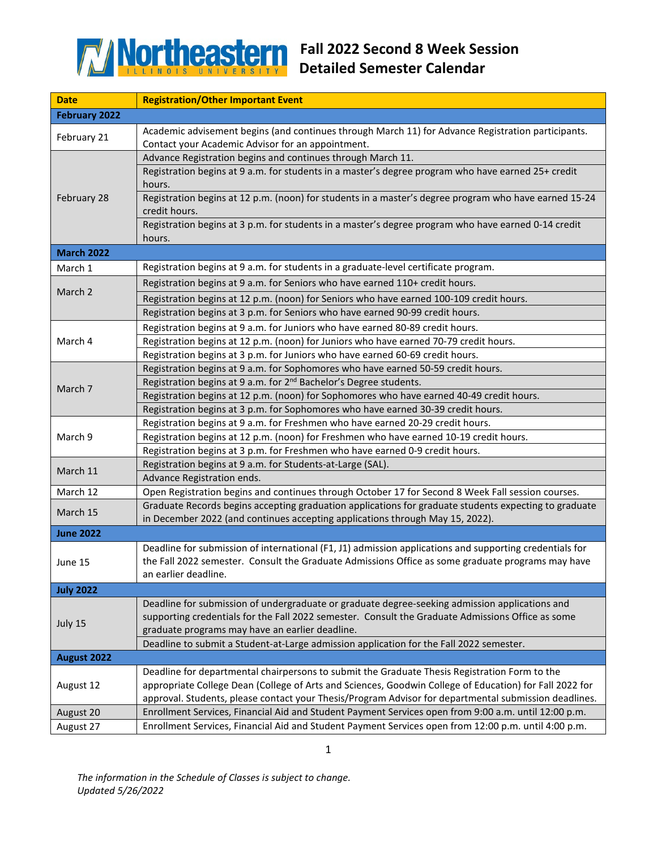

| <b>Date</b>          | <b>Registration/Other Important Event</b>                                                                                                                                                                                                                                                                         |
|----------------------|-------------------------------------------------------------------------------------------------------------------------------------------------------------------------------------------------------------------------------------------------------------------------------------------------------------------|
| <b>February 2022</b> |                                                                                                                                                                                                                                                                                                                   |
| February 21          | Academic advisement begins (and continues through March 11) for Advance Registration participants.                                                                                                                                                                                                                |
|                      | Contact your Academic Advisor for an appointment.                                                                                                                                                                                                                                                                 |
| February 28          | Advance Registration begins and continues through March 11.                                                                                                                                                                                                                                                       |
|                      | Registration begins at 9 a.m. for students in a master's degree program who have earned 25+ credit<br>hours.                                                                                                                                                                                                      |
|                      | Registration begins at 12 p.m. (noon) for students in a master's degree program who have earned 15-24<br>credit hours.                                                                                                                                                                                            |
|                      | Registration begins at 3 p.m. for students in a master's degree program who have earned 0-14 credit<br>hours.                                                                                                                                                                                                     |
| <b>March 2022</b>    |                                                                                                                                                                                                                                                                                                                   |
| March 1              | Registration begins at 9 a.m. for students in a graduate-level certificate program.                                                                                                                                                                                                                               |
| March 2              | Registration begins at 9 a.m. for Seniors who have earned 110+ credit hours.                                                                                                                                                                                                                                      |
|                      | Registration begins at 12 p.m. (noon) for Seniors who have earned 100-109 credit hours.                                                                                                                                                                                                                           |
|                      | Registration begins at 3 p.m. for Seniors who have earned 90-99 credit hours.                                                                                                                                                                                                                                     |
|                      | Registration begins at 9 a.m. for Juniors who have earned 80-89 credit hours.                                                                                                                                                                                                                                     |
| March 4              | Registration begins at 12 p.m. (noon) for Juniors who have earned 70-79 credit hours.                                                                                                                                                                                                                             |
|                      | Registration begins at 3 p.m. for Juniors who have earned 60-69 credit hours.                                                                                                                                                                                                                                     |
|                      | Registration begins at 9 a.m. for Sophomores who have earned 50-59 credit hours.                                                                                                                                                                                                                                  |
|                      | Registration begins at 9 a.m. for 2 <sup>nd</sup> Bachelor's Degree students.                                                                                                                                                                                                                                     |
| March 7              | Registration begins at 12 p.m. (noon) for Sophomores who have earned 40-49 credit hours.                                                                                                                                                                                                                          |
|                      | Registration begins at 3 p.m. for Sophomores who have earned 30-39 credit hours.                                                                                                                                                                                                                                  |
| March 9              | Registration begins at 9 a.m. for Freshmen who have earned 20-29 credit hours.                                                                                                                                                                                                                                    |
|                      | Registration begins at 12 p.m. (noon) for Freshmen who have earned 10-19 credit hours.                                                                                                                                                                                                                            |
|                      | Registration begins at 3 p.m. for Freshmen who have earned 0-9 credit hours.                                                                                                                                                                                                                                      |
| March 11             | Registration begins at 9 a.m. for Students-at-Large (SAL).                                                                                                                                                                                                                                                        |
|                      | Advance Registration ends.                                                                                                                                                                                                                                                                                        |
| March 12             | Open Registration begins and continues through October 17 for Second 8 Week Fall session courses.                                                                                                                                                                                                                 |
| March 15             | Graduate Records begins accepting graduation applications for graduate students expecting to graduate<br>in December 2022 (and continues accepting applications through May 15, 2022).                                                                                                                            |
| <b>June 2022</b>     |                                                                                                                                                                                                                                                                                                                   |
| June 15              | Deadline for submission of international (F1, J1) admission applications and supporting credentials for<br>the Fall 2022 semester. Consult the Graduate Admissions Office as some graduate programs may have<br>an earlier deadline.                                                                              |
| <b>July 2022</b>     |                                                                                                                                                                                                                                                                                                                   |
| July 15              | Deadline for submission of undergraduate or graduate degree-seeking admission applications and<br>supporting credentials for the Fall 2022 semester. Consult the Graduate Admissions Office as some<br>graduate programs may have an earlier deadline.                                                            |
|                      | Deadline to submit a Student-at-Large admission application for the Fall 2022 semester.                                                                                                                                                                                                                           |
| August 2022          |                                                                                                                                                                                                                                                                                                                   |
| August 12            | Deadline for departmental chairpersons to submit the Graduate Thesis Registration Form to the<br>appropriate College Dean (College of Arts and Sciences, Goodwin College of Education) for Fall 2022 for<br>approval. Students, please contact your Thesis/Program Advisor for departmental submission deadlines. |
| August 20            | Enrollment Services, Financial Aid and Student Payment Services open from 9:00 a.m. until 12:00 p.m.                                                                                                                                                                                                              |
| August 27            | Enrollment Services, Financial Aid and Student Payment Services open from 12:00 p.m. until 4:00 p.m.                                                                                                                                                                                                              |

*The information in the Schedule of Classes is subject to change. Updated 5/26/2022*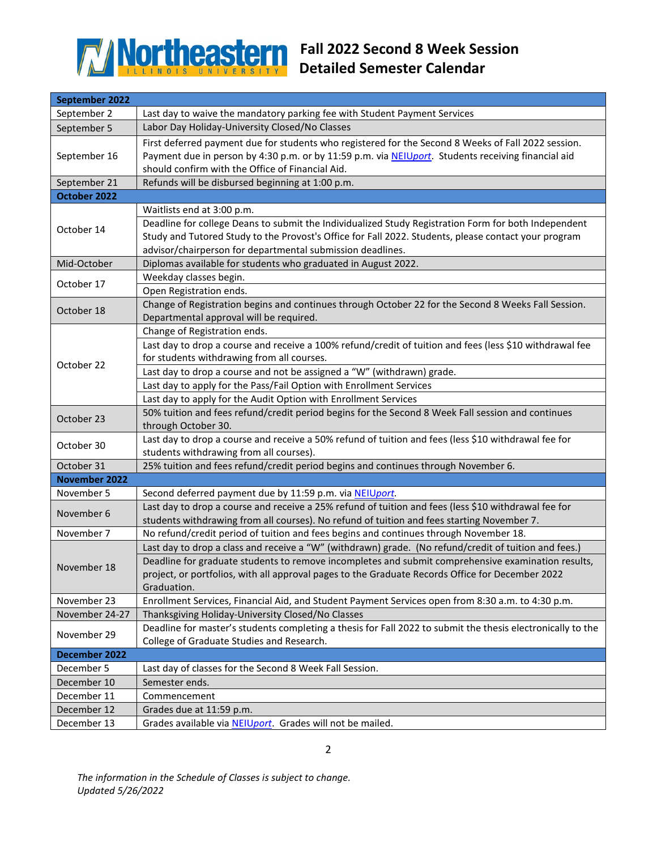

## **Fall 2022 Second 8 Week Session Detailed Semester Calendar**

| September 2022           |                                                                                                                             |  |
|--------------------------|-----------------------------------------------------------------------------------------------------------------------------|--|
| September 2              | Last day to waive the mandatory parking fee with Student Payment Services                                                   |  |
| September 5              | Labor Day Holiday-University Closed/No Classes                                                                              |  |
| September 16             | First deferred payment due for students who registered for the Second 8 Weeks of Fall 2022 session.                         |  |
|                          | Payment due in person by 4:30 p.m. or by 11:59 p.m. via NEIUport. Students receiving financial aid                          |  |
|                          | should confirm with the Office of Financial Aid.                                                                            |  |
| September 21             | Refunds will be disbursed beginning at 1:00 p.m.                                                                            |  |
| October 2022             |                                                                                                                             |  |
| October 14               | Waitlists end at 3:00 p.m.                                                                                                  |  |
|                          | Deadline for college Deans to submit the Individualized Study Registration Form for both Independent                        |  |
|                          | Study and Tutored Study to the Provost's Office for Fall 2022. Students, please contact your program                        |  |
|                          | advisor/chairperson for departmental submission deadlines.                                                                  |  |
| Mid-October              | Diplomas available for students who graduated in August 2022.                                                               |  |
| October 17<br>October 18 | Weekday classes begin.                                                                                                      |  |
|                          | Open Registration ends.                                                                                                     |  |
|                          | Change of Registration begins and continues through October 22 for the Second 8 Weeks Fall Session.                         |  |
|                          | Departmental approval will be required.                                                                                     |  |
|                          | Change of Registration ends.                                                                                                |  |
|                          | Last day to drop a course and receive a 100% refund/credit of tuition and fees (less \$10 withdrawal fee                    |  |
| October 22               | for students withdrawing from all courses.                                                                                  |  |
|                          | Last day to drop a course and not be assigned a "W" (withdrawn) grade.                                                      |  |
|                          | Last day to apply for the Pass/Fail Option with Enrollment Services                                                         |  |
|                          | Last day to apply for the Audit Option with Enrollment Services                                                             |  |
| October 23<br>October 30 | 50% tuition and fees refund/credit period begins for the Second 8 Week Fall session and continues                           |  |
|                          | through October 30.<br>Last day to drop a course and receive a 50% refund of tuition and fees (less \$10 withdrawal fee for |  |
|                          | students withdrawing from all courses).                                                                                     |  |
| October 31               | 25% tuition and fees refund/credit period begins and continues through November 6.                                          |  |
| <b>November 2022</b>     |                                                                                                                             |  |
| November 5               | Second deferred payment due by 11:59 p.m. via NEIUport.                                                                     |  |
| November 6               | Last day to drop a course and receive a 25% refund of tuition and fees (less \$10 withdrawal fee for                        |  |
|                          | students withdrawing from all courses). No refund of tuition and fees starting November 7.                                  |  |
| November 7               | No refund/credit period of tuition and fees begins and continues through November 18.                                       |  |
|                          | Last day to drop a class and receive a "W" (withdrawn) grade. (No refund/credit of tuition and fees.)                       |  |
| November 18              | Deadline for graduate students to remove incompletes and submit comprehensive examination results,                          |  |
|                          | project, or portfolios, with all approval pages to the Graduate Records Office for December 2022                            |  |
|                          | Graduation.                                                                                                                 |  |
| November 23              | Enrollment Services, Financial Aid, and Student Payment Services open from 8:30 a.m. to 4:30 p.m.                           |  |
| November 24-27           | Thanksgiving Holiday-University Closed/No Classes                                                                           |  |
| November 29              | Deadline for master's students completing a thesis for Fall 2022 to submit the thesis electronically to the                 |  |
|                          | College of Graduate Studies and Research.                                                                                   |  |
| December 2022            |                                                                                                                             |  |
| December 5               | Last day of classes for the Second 8 Week Fall Session.                                                                     |  |
| December 10              | Semester ends.                                                                                                              |  |
| December 11              | Commencement                                                                                                                |  |
| December 12              | Grades due at 11:59 p.m.                                                                                                    |  |
| December 13              | Grades available via NEIUport. Grades will not be mailed.                                                                   |  |

*The information in the Schedule of Classes is subject to change. Updated 5/26/2022*